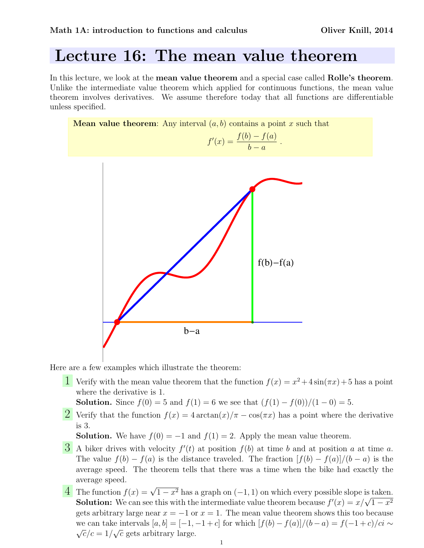## Lecture 16: The mean value theorem

In this lecture, we look at the **mean value theorem** and a special case called **Rolle's theorem**. Unlike the intermediate value theorem which applied for continuous functions, the mean value theorem involves derivatives. We assume therefore today that all functions are differentiable unless specified.





Here are a few examples which illustrate the theorem:

**1** Verify with the mean value theorem that the function  $f(x) = x^2 + 4\sin(\pi x) + 5$  has a point where the derivative is 1.

**Solution.** Since  $f(0) = 5$  and  $f(1) = 6$  we see that  $(f(1) - f(0))/(1 - 0) = 5$ .

2 Verify that the function  $f(x) = 4 \arctan(x)/\pi - \cos(\pi x)$  has a point where the derivative is 3.

**Solution.** We have  $f(0) = -1$  and  $f(1) = 2$ . Apply the mean value theorem.

- **3** A biker drives with velocity  $f'(t)$  at position  $f(b)$  at time b and at position a at time a. The value  $f(b) - f(a)$  is the distance traveled. The fraction  $|f(b) - f(a)|/(b - a)$  is the average speed. The theorem tells that there was a time when the bike had exactly the average speed.
- The function  $f(x) = \sqrt{1-x^2}$  has a graph on  $(-1, 1)$  on which every possible slope is taken. The function  $f(x) = \sqrt{1-x^2}$  has a graph on  $(-1, 1)$  on which every possible slope is taken.<br> **Solution:** We can see this with the intermediate value theorem because  $f'(x) = x/\sqrt{1-x^2}$ gets arbitrary large near  $x = -1$  or  $x = 1$ . The mean value theorem shows this too because we can take intervals  $[a, b] = [-1, -1 + c]$  for which  $[f(b) - f(a)]/(b - a) = f(-1 + c)/ci \sim$  $\overline{c}/c = 1/\sqrt{c}$  gets arbitrary large.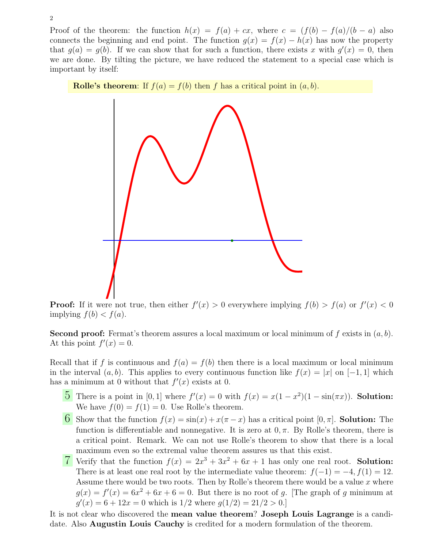Proof of the theorem: the function  $h(x) = f(a) + cx$ , where  $c = (f(b) - f(a)/(b - a)$  also connects the beginning and end point. The function  $g(x) = f(x) - h(x)$  has now the property that  $g(a) = g(b)$ . If we can show that for such a function, there exists x with  $g'(x) = 0$ , then we are done. By tilting the picture, we have reduced the statement to a special case which is important by itself:





**Proof:** If it were not true, then either  $f'(x) > 0$  everywhere implying  $f(b) > f(a)$  or  $f'(x) < 0$ implying  $f(b) < f(a)$ .

**Second proof:** Fermat's theorem assures a local maximum or local minimum of f exists in  $(a, b)$ . At this point  $f'(x) = 0$ .

Recall that if f is continuous and  $f(a) = f(b)$  then there is a local maximum or local minimum in the interval  $(a, b)$ . This applies to every continuous function like  $f(x) = |x|$  on  $[-1, 1]$  which has a minimum at 0 without that  $f'(x)$  exists at 0.

- 5 There is a point in [0, 1] where  $f'(x) = 0$  with  $f(x) = x(1 x^2)(1 \sin(\pi x))$ . Solution: We have  $f(0) = f(1) = 0$ . Use Rolle's theorem.
- 6 Show that the function  $f(x) = \sin(x) + x(\pi x)$  has a critical point  $[0, \pi]$ . Solution: The function is differentiable and nonnegative. It is zero at  $0, \pi$ . By Rolle's theorem, there is a critical point. Remark. We can not use Rolle's theorem to show that there is a local maximum even so the extremal value theorem assures us that this exist.
- T Verify that the function  $f(x) = 2x^3 + 3x^2 + 6x + 1$  has only one real root. **Solution:** There is at least one real root by the intermediate value theorem:  $f(-1) = -4$ ,  $f(1) = 12$ . Assume there would be two roots. Then by Rolle's theorem there would be a value  $x$  where  $g(x) = f'(x) = 6x^2 + 6x + 6 = 0$ . But there is no root of g. The graph of g minimum at  $g'(x) = 6 + 12x = 0$  which is  $1/2$  where  $g(1/2) = 21/2 > 0$ .

It is not clear who discovered the mean value theorem? Joseph Louis Lagrange is a candidate. Also Augustin Louis Cauchy is credited for a modern formulation of the theorem.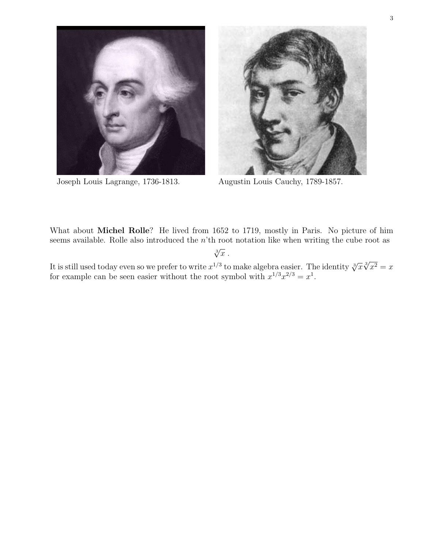



Joseph Louis Lagrange, 1736-1813. Augustin Louis Cauchy, 1789-1857.

What about Michel Rolle? He lived from 1652 to 1719, mostly in Paris. No picture of him seems available. Rolle also introduced the n'th root notation like when writing the cube root as  $\sqrt[3]{x}$  .

It is still used today even so we prefer to write 
$$
x^{1/3}
$$
 to make algebra easier. The identity  $\sqrt[3]{x}\sqrt[3]{x^2} = x$  for example can be seen easier without the root symbol with  $x^{1/3}x^{2/3} = x^1$ .